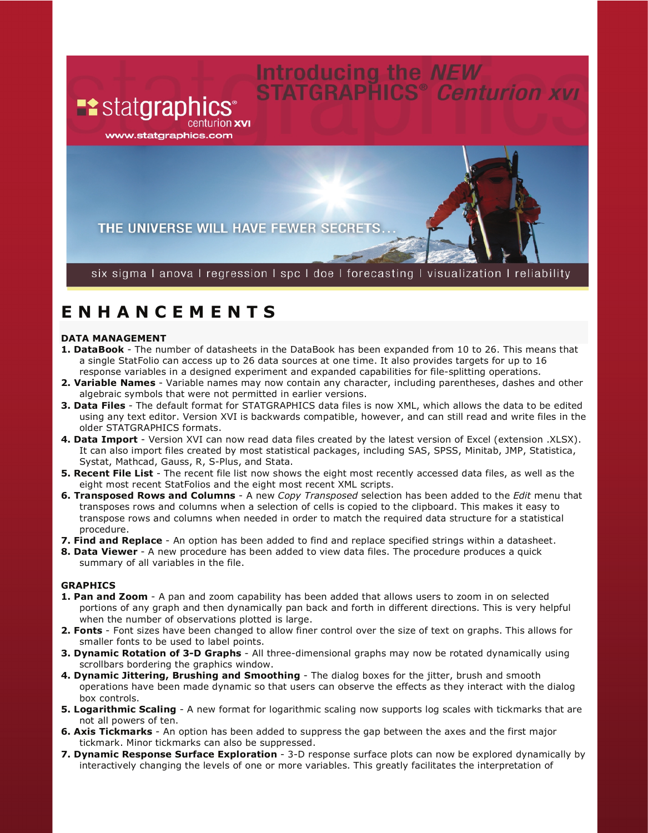# **Introducing the NEW<br>STATGRAPHICS® Centurion XVI**

**Example 3** www.statgraphics.com

THE UNIVERSE WILL HAVE FEWER SECRETS...

six sigmal anoval regression I spc I doe I forecasting I visualization I reliability

## **E N H A N C E M E N T S**

### **DATA MANAGEMENT**

- **1. DataBook**  The number of datasheets in the DataBook has been expanded from 10 to 26. This means that a single StatFolio can access up to 26 data sources at one time. It also provides targets for up to 16 response variables in a designed experiment and expanded capabilities for file-splitting operations.
- **2. Variable Names**  Variable names may now contain any character, including parentheses, dashes and other algebraic symbols that were not permitted in earlier versions.
- **3. Data Files**  The default format for STATGRAPHICS data files is now XML, which allows the data to be edited using any text editor. Version XVI is backwards compatible, however, and can still read and write files in the older STATGRAPHICS formats.
- **4. Data Import**  Version XVI can now read data files created by the latest version of Excel (extension .XLSX). It can also import files created by most statistical packages, including SAS, SPSS, Minitab, JMP, Statistica, Systat, Mathcad, Gauss, R, S-Plus, and Stata.
- **5. Recent File List**  The recent file list now shows the eight most recently accessed data files, as well as the eight most recent StatFolios and the eight most recent XML scripts.
- **6. Transposed Rows and Columns**  A new *Copy Transposed* selection has been added to the *Edit* menu that transposes rows and columns when a selection of cells is copied to the clipboard. This makes it easy to transpose rows and columns when needed in order to match the required data structure for a statistical procedure.
- **7. Find and Replace**  An option has been added to find and replace specified strings within a datasheet.
- **8. Data Viewer**  A new procedure has been added to view data files. The procedure produces a quick summary of all variables in the file.

### **GRAPHICS**

- **1. Pan and Zoom**  A pan and zoom capability has been added that allows users to zoom in on selected portions of any graph and then dynamically pan back and forth in different directions. This is very helpful when the number of observations plotted is large.
- **2. Fonts**  Font sizes have been changed to allow finer control over the size of text on graphs. This allows for smaller fonts to be used to label points.
- **3. Dynamic Rotation of 3-D Graphs**  All three-dimensional graphs may now be rotated dynamically using scrollbars bordering the graphics window.
- **4. Dynamic Jittering, Brushing and Smoothing**  The dialog boxes for the jitter, brush and smooth operations have been made dynamic so that users can observe the effects as they interact with the dialog box controls.
- **5. Logarithmic Scaling**  A new format for logarithmic scaling now supports log scales with tickmarks that are not all powers of ten.
- **6. Axis Tickmarks**  An option has been added to suppress the gap between the axes and the first major tickmark. Minor tickmarks can also be suppressed.
- **7. Dynamic Response Surface Exploration**  3-D response surface plots can now be explored dynamically by interactively changing the levels of one or more variables. This greatly facilitates the interpretation of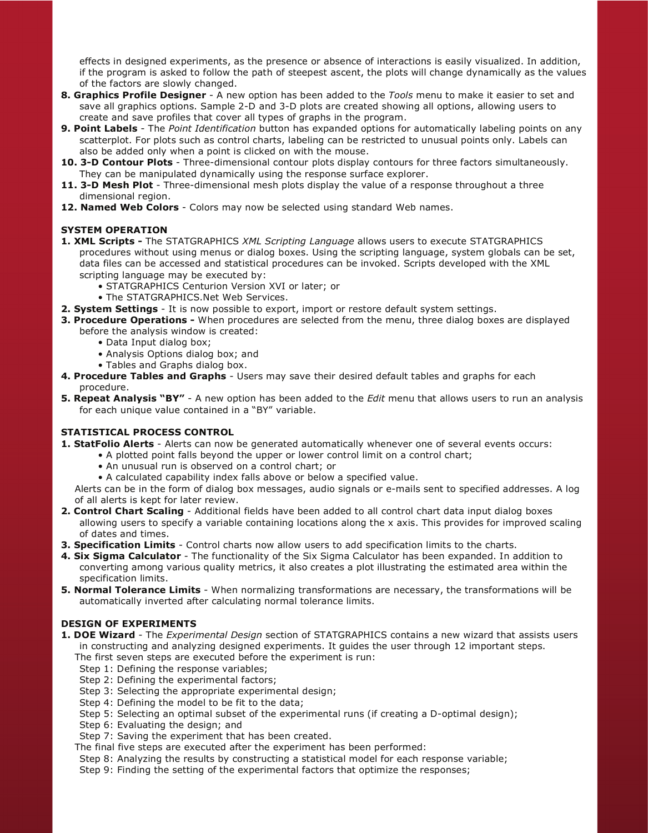effects in designed experiments, as the presence or absence of interactions is easily visualized. In addition, if the program is asked to follow the path of steepest ascent, the plots will change dynamically as the values of the factors are slowly changed.

- **8. Graphics Profile Designer**  A new option has been added to the *Tools* menu to make it easier to set and save all graphics options. Sample 2-D and 3-D plots are created showing all options, allowing users to create and save profiles that cover all types of graphs in the program.
- **9. Point Labels**  The *Point Identification* button has expanded options for automatically labeling points on any scatterplot. For plots such as control charts, labeling can be restricted to unusual points only. Labels can also be added only when a point is clicked on with the mouse.
- **10. 3-D Contour Plots**  Three-dimensional contour plots display contours for three factors simultaneously. They can be manipulated dynamically using the response surface explorer.
- **11. 3-D Mesh Plot**  Three-dimensional mesh plots display the value of a response throughout a three dimensional region.
- **12. Named Web Colors**  Colors may now be selected using standard Web names.

### **SYSTEM OPERATION**

- **1. XML Scripts** The STATGRAPHICS *XML Scripting Language* allows users to execute STATGRAPHICS procedures without using menus or dialog boxes. Using the scripting language, system globals can be set, data files can be accessed and statistical procedures can be invoked. Scripts developed with the XML scripting language may be executed by:
	- STATGRAPHICS Centurion Version XVI or later; or
	- The STATGRAPHICS.Net Web Services.
- **2. System Settings**  It is now possible to export, import or restore default system settings.
- **3. Procedure Operations** When procedures are selected from the menu, three dialog boxes are displayed before the analysis window is created:
	- Data Input dialog box;
	- Analysis Options dialog box; and
	- Tables and Graphs dialog box.
- **4. Procedure Tables and Graphs**  Users may save their desired default tables and graphs for each procedure.
- **5. Repeat Analysis "BY"**  A new option has been added to the *Edit* menu that allows users to run an analysis for each unique value contained in a "BY" variable.

### **STATISTICAL PROCESS CONTROL**

- **1. StatFolio Alerts**  Alerts can now be generated automatically whenever one of several events occurs:
	- A plotted point falls beyond the upper or lower control limit on a control chart;
	- An unusual run is observed on a control chart; or
	- A calculated capability index falls above or below a specified value.

Alerts can be in the form of dialog box messages, audio signals or e-mails sent to specified addresses. A log of all alerts is kept for later review.

- **2. Control Chart Scaling**  Additional fields have been added to all control chart data input dialog boxes allowing users to specify a variable containing locations along the x axis. This provides for improved scaling of dates and times.
- **3. Specification Limits**  Control charts now allow users to add specification limits to the charts.
- **4. Six Sigma Calculator**  The functionality of the Six Sigma Calculator has been expanded. In addition to converting among various quality metrics, it also creates a plot illustrating the estimated area within the specification limits.
- **5. Normal Tolerance Limits**  When normalizing transformations are necessary, the transformations will be automatically inverted after calculating normal tolerance limits.

### **DESIGN OF EXPERIMENTS**

- **1. DOE Wizard**  The *Experimental Design* section of STATGRAPHICS contains a new wizard that assists users in constructing and analyzing designed experiments. It guides the user through 12 important steps.
	- The first seven steps are executed before the experiment is run:
	- Step 1: Defining the response variables;
	- Step 2: Defining the experimental factors;
	- Step 3: Selecting the appropriate experimental design;
	- Step 4: Defining the model to be fit to the data;
	- Step 5: Selecting an optimal subset of the experimental runs (if creating a D-optimal design);
	- Step 6: Evaluating the design; and
	- Step 7: Saving the experiment that has been created.
	- The final five steps are executed after the experiment has been performed:
	- Step 8: Analyzing the results by constructing a statistical model for each response variable;
	- Step 9: Finding the setting of the experimental factors that optimize the responses;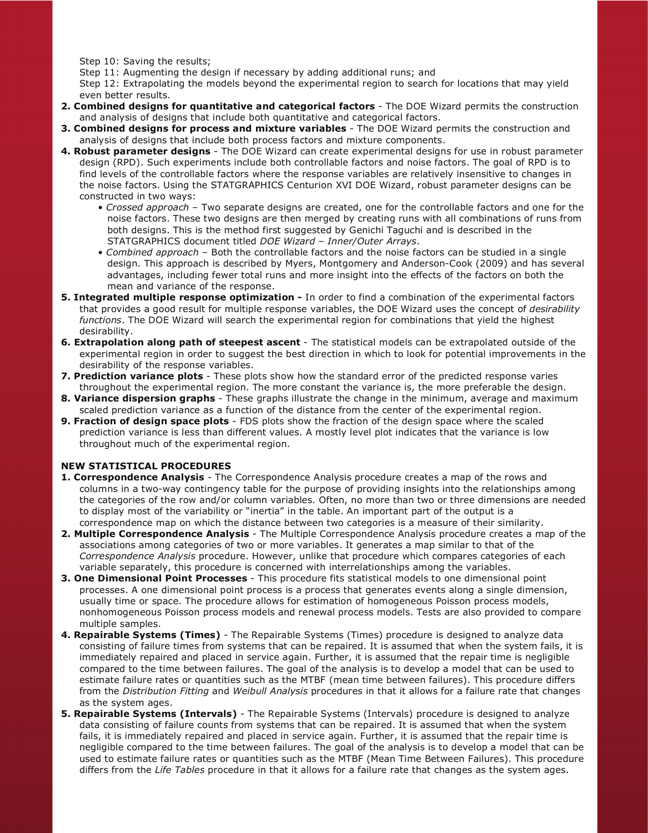Step 10: Saving the results;

Step 11: Augmenting the design if necessary by adding additional runs; and

Step 12: Extrapolating the models beyond the experimental region to search for locations that may yield even better results.

- **2. Combined designs for quantitative and categorical factors**  The DOE Wizard permits the construction and analysis of designs that include both quantitative and categorical factors.
- **3. Combined designs for process and mixture variables**  The DOE Wizard permits the construction and analysis of designs that include both process factors and mixture components.
- **4. Robust parameter designs**  The DOE Wizard can create experimental designs for use in robust parameter design (RPD). Such experiments include both controllable factors and noise factors. The goal of RPD is to find levels of the controllable factors where the response variables are relatively insensitive to changes in the noise factors. Using the STATGRAPHICS Centurion XVI DOE Wizard, robust parameter designs can be constructed in two ways:
	- *Crossed approach*  Two separate designs are created, one for the controllable factors and one for the noise factors. These two designs are then merged by creating runs with all combinations of runs from both designs. This is the method first suggested by Genichi Taguchi and is described in the STATGRAPHICS document titled *DOE Wizard – Inner/Outer Arrays*.
	- *Combined approach*  Both the controllable factors and the noise factors can be studied in a single design. This approach is described by Myers, Montgomery and Anderson-Cook (2009) and has several advantages, including fewer total runs and more insight into the effects of the factors on both the mean and variance of the response.
- **5. Integrated multiple response optimization** In order to find a combination of the experimental factors that provides a good result for multiple response variables, the DOE Wizard uses the concept of *desirability functions*. The DOE Wizard will search the experimental region for combinations that yield the highest desirability.
- **6. Extrapolation along path of steepest ascent**  The statistical models can be extrapolated outside of the experimental region in order to suggest the best direction in which to look for potential improvements in the desirability of the response variables.
- **7. Prediction variance plots**  These plots show how the standard error of the predicted response varies throughout the experimental region. The more constant the variance is, the more preferable the design.
- **8. Variance dispersion graphs**  These graphs illustrate the change in the minimum, average and maximum scaled prediction variance as a function of the distance from the center of the experimental region.
- **9. Fraction of design space plots**  FDS plots show the fraction of the design space where the scaled prediction variance is less than different values. A mostly level plot indicates that the variance is low throughout much of the experimental region.

### **NEW STATISTICAL PROCEDURES**

- **1. Correspondence Analysis**  The Correspondence Analysis procedure creates a map of the rows and columns in a two-way contingency table for the purpose of providing insights into the relationships among the categories of the row and/or column variables. Often, no more than two or three dimensions are needed to display most of the variability or "inertia" in the table. An important part of the output is a correspondence map on which the distance between two categories is a measure of their similarity.
- **2. Multiple Correspondence Analysis**  The Multiple Correspondence Analysis procedure creates a map of the associations among categories of two or more variables. It generates a map similar to that of the *Correspondence Analysis* procedure. However, unlike that procedure which compares categories of each variable separately, this procedure is concerned with interrelationships among the variables.
- **3. One Dimensional Point Processes**  This procedure fits statistical models to one dimensional point processes. A one dimensional point process is a process that generates events along a single dimension, usually time or space. The procedure allows for estimation of homogeneous Poisson process models, nonhomogeneous Poisson process models and renewal process models. Tests are also provided to compare multiple samples.
- **4. Repairable Systems (Times)**  The Repairable Systems (Times) procedure is designed to analyze data consisting of failure times from systems that can be repaired. It is assumed that when the system fails, it is immediately repaired and placed in service again. Further, it is assumed that the repair time is negligible compared to the time between failures. The goal of the analysis is to develop a model that can be used to estimate failure rates or quantities such as the MTBF (mean time between failures). This procedure differs from the *Distribution Fitting* and *Weibull Analysis* procedures in that it allows for a failure rate that changes as the system ages.
- **5. Repairable Systems (Intervals)**  The Repairable Systems (Intervals) procedure is designed to analyze data consisting of failure counts from systems that can be repaired. It is assumed that when the system fails, it is immediately repaired and placed in service again. Further, it is assumed that the repair time is negligible compared to the time between failures. The goal of the analysis is to develop a model that can be used to estimate failure rates or quantities such as the MTBF (Mean Time Between Failures). This procedure differs from the *Life Tables* procedure in that it allows for a failure rate that changes as the system ages.